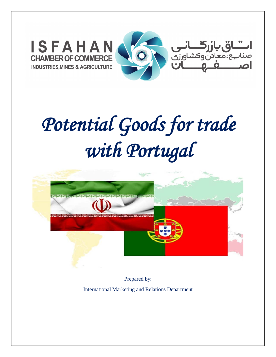

# *Potential Goods for trade with Portugal*



 Prepared by: International Marketing and Relations Department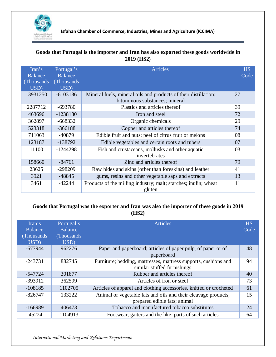

# **Goods that Portugal is the importer and Iran has also exported these goods worldwide in 2019 (HS2)**

| Iran's<br>Balance<br>(Thousands)<br>USD) | Portugal's<br><b>Balance</b><br>(Thousands)<br>USD) | <b>Articles</b>                                                                                   | <b>HS</b><br>Code |
|------------------------------------------|-----------------------------------------------------|---------------------------------------------------------------------------------------------------|-------------------|
| 13931250                                 | $-6103186$                                          | Mineral fuels, mineral oils and products of their distillation;<br>bituminous substances; mineral | 27                |
| 2287712                                  | $-693780$                                           | Plastics and articles thereof                                                                     | 39                |
| 463696                                   | $-1238180$                                          | Iron and steel                                                                                    | 72                |
| 362897                                   | $-668332$                                           | Organic chemicals                                                                                 | 29                |
| 523318                                   | $-366188$                                           | Copper and articles thereof                                                                       | 74                |
| 711063                                   | $-40879$                                            | Edible fruit and nuts; peel of citrus fruit or melons                                             | 08                |
| 123187                                   | $-138792$                                           | Edible vegetables and certain roots and tubers                                                    | 07                |
| 11100                                    | $-1244298$                                          | Fish and crustaceans, mollusks and other aquatic<br>invertebrates                                 | 03                |
| 158660                                   | $-84761$                                            | Zinc and articles thereof                                                                         | 79                |
| 23625                                    | -298209                                             | Raw hides and skins (other than foreskins) and leather                                            | 41                |
| 3921                                     | $-48845$                                            | gums, resins and other vegetable saps and extracts                                                | 13                |
| 3461                                     | $-42244$                                            | Products of the milling industry; malt; starches; inulin; wheat<br>gluten                         | 11                |

# **Goods that Portugal was the exporter and Iran was also the importer of these goods in 2019 (HS2)**

| Iran's<br><b>Balance</b><br>(Thousands)<br>USD) | Portugal's<br><b>Balance</b><br>(Thousands)<br>USD) | <b>Articles</b>                                                                                | <b>HS</b><br>Code |
|-------------------------------------------------|-----------------------------------------------------|------------------------------------------------------------------------------------------------|-------------------|
| $-677944$                                       | 962276                                              | Paper and paperboard; articles of paper pulp, of paper or of<br>paperboard                     | 48                |
| $-243731$                                       | 882745                                              | Furniture; bedding, mattresses, mattress supports, cushions and<br>similar stuffed furnishings | 94                |
| -547724                                         | 301877                                              | Rubber and articles thereof                                                                    | 40                |
| $-393912$                                       | 362599                                              | Articles of iron or steel                                                                      | 73                |
| $-108185$                                       | 1102705                                             | Articles of apparel and clothing accessories, knitted or crocheted                             | 61                |
| $-826747$                                       | 133222                                              | Animal or vegetable fats and oils and their cleavage products;<br>prepared edible fats; animal | 15                |
| $-166989$                                       | 406473                                              | Tobacco and manufactured tobacco substitutes                                                   | 24                |
| $-45224$                                        | 1104913                                             | Footwear, gaiters and the like; parts of such articles                                         | 64                |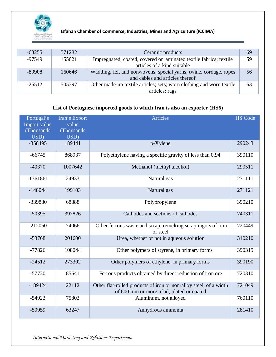

| $-63255$ | 571282 | Ceramic products                                                                                     | 69 |
|----------|--------|------------------------------------------------------------------------------------------------------|----|
| -97549   | 155021 | Impregnated, coated, covered or laminated textile fabrics; textile<br>articles of a kind suitable    | 59 |
| -89908   | 160646 | Wadding, felt and nonwovens; special yarns; twine, cordage, ropes<br>and cables and articles thereof | 56 |
| $-25512$ | 505397 | Other made-up textile articles; sets; worn clothing and worn textile<br>articles; rags               | 63 |

# **List of Portuguese imported goods to which Iran is also an exporter (HS6)**

| Portugal's<br>Import value<br>(Thousands)<br>USD) | Iran's Export<br>value<br>(Thousands)<br>USD) | <b>Articles</b>                                                                                                | <b>HS Code</b> |
|---------------------------------------------------|-----------------------------------------------|----------------------------------------------------------------------------------------------------------------|----------------|
| $-358495$                                         | 189441                                        | $p$ -Xylene                                                                                                    | 290243         |
| $-66745$                                          | 868937                                        | Polyethylene having a specific gravity of less than 0.94                                                       | 390110         |
| $-40370$                                          | 1007642                                       | Methanol (methyl alcohol)                                                                                      | 290511         |
| $-1361861$                                        | 24933                                         | Natural gas                                                                                                    | 271111         |
| $-148044$                                         | 199103                                        | Natural gas                                                                                                    | 271121         |
| -339880                                           | 68888                                         | Polypropylene                                                                                                  | 390210         |
| $-50395$                                          | 397826                                        | Cathodes and sections of cathodes                                                                              | 740311         |
| $-212050$                                         | 74066                                         | Other ferrous waste and scrap; remelting scrap ingots of iron<br>or steel                                      | 720449         |
| $-53768$                                          | 201600                                        | Urea, whether or not in aqueous solution                                                                       | 310210         |
| $-77826$                                          | 108044                                        | Other polymers of styrene, in primary forms                                                                    | 390319         |
| $-24512$                                          | 273302                                        | Other polymers of ethylene, in primary forms                                                                   | 390190         |
| $-57730$                                          | 85641                                         | Ferrous products obtained by direct reduction of iron ore                                                      | 720310         |
| $-189424$                                         | 22112                                         | Other flat-rolled products of iron or non-alloy steel, of a width<br>of 600 mm or more, clad, plated or coated | 721049         |
| $-54923$                                          | 75803                                         | Aluminum, not alloyed                                                                                          | 760110         |
| $-50959$                                          | 63247                                         | Anhydrous ammonia                                                                                              | 281410         |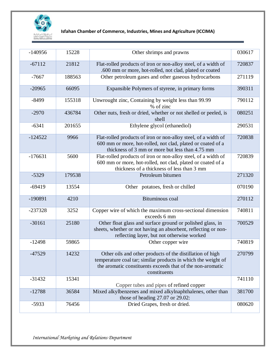

| $-140956$ | 15228  | Other shrimps and prawns                                                                                                                                                                                 | 030617 |
|-----------|--------|----------------------------------------------------------------------------------------------------------------------------------------------------------------------------------------------------------|--------|
| $-67112$  | 21812  | Flat-rolled products of iron or non-alloy steel, of a width of<br>.600 mm or more, hot-rolled, not clad, plated or coated                                                                                | 720837 |
| $-7667$   | 188563 | Other petroleum gases and other gaseous hydrocarbons                                                                                                                                                     | 271119 |
| $-20965$  | 66095  | Expansible Polymers of styrene, in primary forms                                                                                                                                                         | 390311 |
| $-8499$   | 155318 | Unwrought zinc, Containing by weight less than 99.99<br>% of zinc                                                                                                                                        | 790112 |
| $-2970$   | 436784 | Other nuts, fresh or dried, whether or not shelled or peeled, is<br>shell                                                                                                                                | 080251 |
| $-6341$   | 201655 | Ethylene glycol (ethanediol)                                                                                                                                                                             | 290531 |
| $-124522$ | 9966   | Flat-rolled products of iron or non-alloy steel, of a width of<br>600 mm or more, hot-rolled, not clad, plated or coated of a<br>thickness of 3 mm or more but less than 4.75 mm                         | 720838 |
| $-176631$ | 5600   | Flat-rolled products of iron or non-alloy steel, of a width of<br>600 mm or more, hot-rolled, not clad, plated or coated of a<br>thickness of a thickness of less than 3 mm                              | 720839 |
| $-5329$   | 179538 | Petroleum bitumen                                                                                                                                                                                        | 271320 |
| $-69419$  | 13554  | Other potatoes, fresh or chilled                                                                                                                                                                         | 070190 |
| $-190891$ | 4210   | Bituminous coal                                                                                                                                                                                          | 270112 |
| $-237328$ | 3252   | Copper wire of which the maximum cross-sectional dimension<br>exceeds 6 mm                                                                                                                               | 740811 |
| $-30161$  | 25180  | Other float glass and surface ground or polished glass, in<br>sheets, whether or not having an absorbent, reflecting or non-<br>reflecting layer, but not otherwise worked                               | 700529 |
| $-12498$  | 59865  | Other copper wire                                                                                                                                                                                        | 740819 |
| $-47529$  | 14232  | Other oils and other products of the distillation of high<br>temperature coal tar; similar products in which the weight of<br>the aromatic constituents exceeds that of the non-aromatic<br>constituents | 270799 |
| $-31432$  | 15341  | Copper tubes and pipes of refined copper                                                                                                                                                                 | 741110 |
| $-12788$  | 36584  | Mixed alkylbenzenes and mixed alkylnaphthalenes, other than<br>those of heading 27.07 or 29.02:                                                                                                          | 381700 |
| $-5933$   | 76456  | Dried Grapes, fresh or dried.                                                                                                                                                                            | 080620 |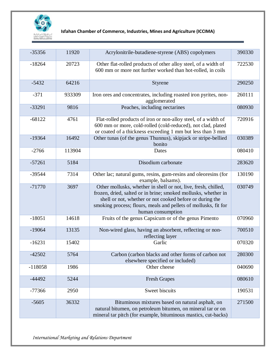

| $-35356$  | 11920  | Acrylonitrile-butadiene-styrene (ABS) copolymers                                                                                                                                                                                                                                     | 390330 |
|-----------|--------|--------------------------------------------------------------------------------------------------------------------------------------------------------------------------------------------------------------------------------------------------------------------------------------|--------|
| $-18264$  | 20723  | Other flat-rolled products of other alloy steel, of a width of<br>600 mm or more not further worked than hot-rolled, in coils                                                                                                                                                        | 722530 |
| $-5432$   | 64216  | Styrene                                                                                                                                                                                                                                                                              | 290250 |
| $-371$    | 933309 | Iron ores and concentrates, including roasted iron pyrites, non-<br>agglomerated                                                                                                                                                                                                     | 260111 |
| $-33291$  | 9816   | Peaches, including nectarines                                                                                                                                                                                                                                                        | 080930 |
| $-68122$  | 4761   | Flat-rolled products of iron or non-alloy steel, of a width of<br>600 mm or more, cold-rolled (cold-reduced), not clad, plated<br>or coated of a thickness exceeding 1 mm but less than 3 mm                                                                                         | 720916 |
| $-19364$  | 16492  | Other tunas (of the genus Thunnus), skipjack or stripe-bellied<br>bonito                                                                                                                                                                                                             | 030389 |
| $-2766$   | 113904 | Dates                                                                                                                                                                                                                                                                                | 080410 |
| $-57261$  | 5184   | Disodium carbonate                                                                                                                                                                                                                                                                   | 283620 |
| $-39544$  | 7314   | Other lac; natural gums, resins, gum-resins and oleoresins (for<br>example, balsams).                                                                                                                                                                                                | 130190 |
| $-71770$  | 3697   | Other mollusks, whether in shell or not, live, fresh, chilled,<br>frozen, dried, salted or in brine; smoked mollusks, whether in<br>shell or not, whether or not cooked before or during the<br>smoking process; flours, meals and pellets of mollusks, fit for<br>human consumption | 030749 |
| $-18051$  | 14618  | Fruits of the genus Capsicum or of the genus Pimento                                                                                                                                                                                                                                 | 070960 |
| $-19064$  | 13135  | Non-wired glass, having an absorbent, reflecting or non-<br>reflecting layer                                                                                                                                                                                                         | 700510 |
| $-16231$  | 15402  | Garlic                                                                                                                                                                                                                                                                               | 070320 |
| $-42502$  | 5764   | Carbon (carbon blacks and other forms of carbon not<br>elsewhere specified or included)                                                                                                                                                                                              | 280300 |
| $-118058$ | 1986   | Other cheese                                                                                                                                                                                                                                                                         | 040690 |
| $-44492$  | 5244   | <b>Fresh Grapes</b>                                                                                                                                                                                                                                                                  | 080610 |
| $-77366$  | 2950   | Sweet biscuits                                                                                                                                                                                                                                                                       | 190531 |
| $-5605$   | 36332  | Bituminous mixtures based on natural asphalt, on<br>natural bitumen, on petroleum bitumen, on mineral tar or on<br>mineral tar pitch (for example, bituminous mastics, cut-backs)                                                                                                    | 271500 |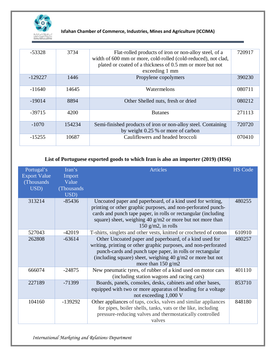

| $-53328$  | 3734   | Flat-rolled products of iron or non-alloy steel, of a<br>width of 600 mm or more, cold-rolled (cold-reduced), not clad,<br>plated or coated of a thickness of 0.5 mm or more but not<br>exceeding 1 mm | 720917 |
|-----------|--------|--------------------------------------------------------------------------------------------------------------------------------------------------------------------------------------------------------|--------|
| $-129227$ | 1446   | Propylene copolymers                                                                                                                                                                                   | 390230 |
| $-11640$  | 14645  | Watermelons                                                                                                                                                                                            | 080711 |
| $-19014$  | 8894   | Other Shelled nuts, fresh or dried                                                                                                                                                                     | 080212 |
| $-39715$  | 4200   | <b>Butanes</b>                                                                                                                                                                                         | 271113 |
| $-1070$   | 154234 | Semi-finished products of iron or non-alloy steel. Containing<br>by weight 0.25 % or more of carbon                                                                                                    | 720720 |
| $-15255$  | 10687  | Cauliflowers and headed broccoli                                                                                                                                                                       | 070410 |

#### **List of Portuguese exported goods to which Iran is also an importer (2019) (HS6)**

| Portugal's<br><b>Export Value</b><br>(Thousands)<br>USD) | Iran's<br>Import<br>Value<br>(Thousands)<br>USD) | <b>Articles</b>                                                                                                                                                                                                                                                                       | <b>HS Code</b> |
|----------------------------------------------------------|--------------------------------------------------|---------------------------------------------------------------------------------------------------------------------------------------------------------------------------------------------------------------------------------------------------------------------------------------|----------------|
| 313214                                                   | $-85436$                                         | Uncoated paper and paperboard, of a kind used for writing,<br>printing or other graphic purposes, and non-perforated punch-<br>cards and punch tape paper, in rolls or rectangular (including<br>square) sheet, weighing 40 $g/m2$ or more but not more than<br>150 $g/m2$ , in rolls | 480255         |
| 527043                                                   | $-42019$                                         | T-shirts, singlets and other vests, knitted or crocheted of cotton                                                                                                                                                                                                                    | 610910         |
| 262808                                                   | $-63614$                                         | Other Uncoated paper and paperboard, of a kind used for<br>writing, printing or other graphic purposes, and non-perforated<br>punch-cards and punch tape paper, in rolls or rectangular<br>(including square) sheet, weighing $40$ g/m2 or more but not<br>more than $150$ g/m2       | 480257         |
| 666074                                                   | $-24875$                                         | New pneumatic tyres, of rubber of a kind used on motor cars<br>(including station wagons and racing cars)                                                                                                                                                                             | 401110         |
| 227189                                                   | $-71399$                                         | Boards, panels, consoles, desks, cabinets and other bases,<br>equipped with two or more apparatus of heading for a voltage<br>not exceeding 1,000 V                                                                                                                                   | 853710         |
| 104160                                                   | $-139292$                                        | Other appliances of taps, cocks, valves and similar appliances<br>for pipes, boiler shells, tanks, vats or the like, including<br>pressure-reducing valves and thermostatically controlled<br>valves                                                                                  | 848180         |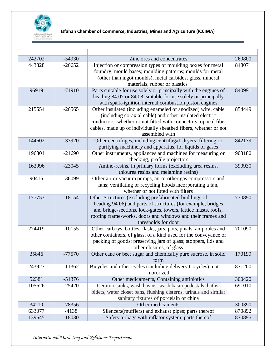

| 242702 | $-54930$ | Zinc ores and concentrates                                                                                                                                                                                                                                                       | 260800 |
|--------|----------|----------------------------------------------------------------------------------------------------------------------------------------------------------------------------------------------------------------------------------------------------------------------------------|--------|
| 443828 | $-26652$ | Injection or compression types of moulding boxes for metal<br>foundry; mould bases; moulding patterns; moulds for metal<br>(other than ingot moulds), metal carbides, glass, mineral<br>materials, rubber or plastics                                                            | 848071 |
| 96919  | $-71910$ | Parts suitable for use solely or principally with the engines of<br>heading 84.07 or 84.08, suitable for use solely or principally<br>with spark-ignition internal combustion piston engines                                                                                     | 840991 |
| 215554 | $-26565$ | Other insulated (including enameled or anodized) wire, cable<br>(including co-axial cable) and other insulated electric<br>conductors, whether or not fitted with connectors; optical fiber<br>cables, made up of individually sheathed fibers, whether or not<br>assembled with | 854449 |
| 144602 | $-33920$ | Other centrifuges, including centrifuga1 dryers; filtering or<br>purifying machinery and apparatus, for liquids or gases                                                                                                                                                         | 842139 |
| 196801 | $-21690$ | Other instruments, appliances and machines for measuring or<br>checking, profile projectors                                                                                                                                                                                      | 903180 |
| 162996 | $-23045$ | Amino-resins, in primary forms (excluding urea resins,<br>thiourea resins and melamine resins)                                                                                                                                                                                   | 390930 |
| 90415  | $-36099$ | Other air or vacuum pumps, air or other gas compressors and<br>fans; ventilating or recycling hoods incorporating a fan,<br>whether or not fitted with filters                                                                                                                   |        |
| 177753 | $-18154$ | Other Structures (excluding prefabricated buildings of<br>heading 94.06) and parts of structures (for example, bridges<br>and bridge-sections, lock-gates, towers, lattice masts, roofs,<br>roofing frame-works, doors and windows and their frames and<br>thresholds for door   | 730890 |
| 274419 | $-10155$ | Other carboys, bottles, flasks, jars, pots, phials, ampoules and<br>other containers, of glass, of a kind used for the conveyance or<br>packing of goods; preserving jars of glass; stoppers, lids and<br>other closures, of glass                                               | 701090 |
| 35846  | $-77570$ | Other cane or beet sugar and chemically pure sucrose, in solid<br>form                                                                                                                                                                                                           | 170199 |
| 243927 | $-11362$ | Bicycles and other cycles (including delivery tricycles), not<br>motorized                                                                                                                                                                                                       | 871200 |
| 52381  | $-51376$ | Other medicaments, Containing antibiotics                                                                                                                                                                                                                                        | 300420 |
| 105626 | $-25420$ | Ceramic sinks, wash basins, wash basin pedestals, baths,<br>bidets, water closet pans, flushing cisterns, urinals and similar<br>sanitary fixtures of porcelain or china                                                                                                         | 691010 |
| 34210  | $-78356$ | Other medicaments                                                                                                                                                                                                                                                                | 300390 |
| 633077 | $-4138$  | Silencers(mufflers) and exhaust pipes; parts thereof                                                                                                                                                                                                                             | 870892 |
| 139645 | $-18030$ | Safety airbags with inflator system; parts thereof                                                                                                                                                                                                                               | 870895 |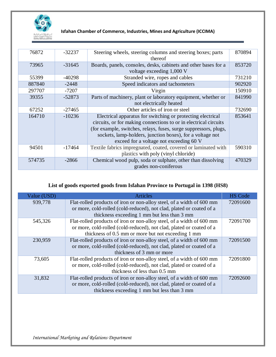

| 76872  | $-32237$ | Steering wheels, steering columns and steering boxes; parts<br>thereof                                                                                                                                                                                                                                      | 870894 |
|--------|----------|-------------------------------------------------------------------------------------------------------------------------------------------------------------------------------------------------------------------------------------------------------------------------------------------------------------|--------|
| 73965  | $-31645$ | Boards, panels, consoles, desks, cabinets and other bases for a<br>voltage exceeding 1,000 V                                                                                                                                                                                                                | 853720 |
| 55399  | $-40298$ | Stranded wire, ropes and cables                                                                                                                                                                                                                                                                             | 731210 |
| 887840 | $-2448$  | Speed indicators and tachometers                                                                                                                                                                                                                                                                            | 902920 |
| 297707 | $-7207$  | Virgin                                                                                                                                                                                                                                                                                                      | 150910 |
| 39355  | $-52873$ | Parts of machinery, plant or laboratory equipment, whether or<br>not electrically heated                                                                                                                                                                                                                    | 841990 |
| 67252  | $-27465$ | Other articles of iron or steel                                                                                                                                                                                                                                                                             | 732690 |
| 164710 | $-10236$ | Electrical apparatus for switching or protecting electrical<br>circuits, or for making connections to or in electrical circuits<br>(for example, switches, relays, fuses, surge suppressors, plugs,<br>sockets, lamp-holders, junction boxes), for a voltage not<br>exceed for a voltage not exceeding 60 V | 853641 |
| 94501  | $-17464$ | Textile fabrics impregnated, coated, covered or laminated with<br>plastics with poly (vinyl chloride)                                                                                                                                                                                                       | 590310 |
| 574735 | $-2866$  | Chemical wood pulp, soda or sulphate, other than dissolving<br>grades non-coniferous                                                                                                                                                                                                                        | 470329 |

## **List of goods exported goods from Isfahan Province to Portugal in 1398 (HS8)**

| Value (USD) | <b>Articles</b>                                                                                                                                                                                     | <b>HS</b> Code |
|-------------|-----------------------------------------------------------------------------------------------------------------------------------------------------------------------------------------------------|----------------|
| 939,778     | Flat-rolled products of iron or non-alloy steel, of a width of 600 mm<br>or more, cold-rolled (cold-reduced), not clad, plated or coated of a<br>thickness exceeding 1 mm but less than 3 mm        | 72091600       |
| 545,326     | Flat-rolled products of iron or non-alloy steel, of a width of 600 mm<br>or more, cold-rolled (cold-reduced), not clad, plated or coated of a<br>thickness of 0.5 mm or more but not exceeding 1 mm | 72091700       |
| 230,959     | Flat-rolled products of iron or non-alloy steel, of a width of 600 mm<br>or more, cold-rolled (cold-reduced), not clad, plated or coated of a<br>thickness of 3 mm or more                          | 72091500       |
| 73,605      | Flat-rolled products of iron or non-alloy steel, of a width of 600 mm<br>or more, cold-rolled (cold-reduced), not clad, plated or coated of a<br>thickness of less than 0.5 mm                      | 72091800       |
| 31,832      | Flat-rolled products of iron or non-alloy steel, of a width of 600 mm<br>or more, cold-rolled (cold-reduced), not clad, plated or coated of a<br>thickness exceeding 1 mm but less than 3 mm        | 72092600       |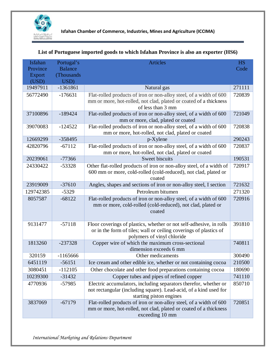

| Isfahan       | Portugal's     | <b>Articles</b>                                                                                                          | <b>HS</b> |
|---------------|----------------|--------------------------------------------------------------------------------------------------------------------------|-----------|
| Province      | <b>Balance</b> |                                                                                                                          | Code      |
| <b>Export</b> | (Thousands     |                                                                                                                          |           |
| (USD)         | USD)           |                                                                                                                          |           |
| 19497911      | $-1361861$     | Natural gas                                                                                                              | 271111    |
| 56772490      | $-176631$      | Flat-rolled products of iron or non-alloy steel, of a width of 600                                                       | 720839    |
|               |                | mm or more, hot-rolled, not clad, plated or coated of a thickness<br>of less than 3 mm                                   |           |
| 37100896      | $-189424$      | Flat-rolled products of iron or non-alloy steel, of a width of 600                                                       | 721049    |
|               |                | mm or more, clad, plated or coated                                                                                       |           |
| 39070083      | $-124522$      | Flat-rolled products of iron or non-alloy steel, of a width of 600                                                       | 720838    |
|               |                | mm or more, hot-rolled, not clad, plated or coated                                                                       |           |
| 12669299      | $-358495$      | p-Xylene                                                                                                                 | 290243    |
| 42820796      | $-67112$       | Flat-rolled products of iron or non-alloy steel, of a width of 600<br>mm or more, hot-rolled, not clad, plated or coated | 720837    |
| 20239061      | $-77366$       | <b>Sweet biscuits</b>                                                                                                    | 190531    |
| 24330422      | $-53328$       | Other flat-rolled products of iron or non-alloy steel, of a width of                                                     | 720917    |
|               |                | 600 mm or more, cold-rolled (cold-reduced), not clad, plated or                                                          |           |
|               |                | coated                                                                                                                   |           |
| 23919009      | $-37610$       | Angles, shapes and sections of iron or non-alloy steel, I section                                                        | 721632    |
| 129742385     | $-5329$        | Petroleum bitumen                                                                                                        | 271320    |
| 8057587       | $-68122$       | Flat-rolled products of iron or non-alloy steel, of a width of 600                                                       | 720916    |
|               |                | mm or more, cold-rolled (cold-reduced), not clad, plated or<br>coated                                                    |           |
|               |                |                                                                                                                          |           |
| 9131477       | $-57118$       | Floor coverings of plastics, whether or not self-adhesive, in rolls                                                      | 391810    |
|               |                | or in the form of tiles; wall or ceiling coverings of plastics of                                                        |           |
|               |                | polymers of vinyl chloride                                                                                               |           |
| 1813260       | $-237328$      | Copper wire of which the maximum cross-sectional                                                                         | 740811    |
|               |                | dimension exceeds 6 mm                                                                                                   |           |
| 320159        | $-1165666$     | Other medicaments                                                                                                        | 300490    |
| 6451119       | $-56151$       | Ice cream and other edible ice, whether or not containing cocoa                                                          | 210500    |
| 3080451       | $-112105$      | Other chocolate and other food preparations containing cocoa                                                             | 180690    |
| 10239300      | $-31432$       | Copper tubes and pipes of refined copper                                                                                 | 741110    |
| 4770936       | $-57985$       | Electric accumulators, including separators therefor, whether or                                                         | 850710    |
|               |                | not rectangular (including square). Lead-acid, of a kind used for                                                        |           |
| 3837069       | $-67179$       | starting piston engines<br>Flat-rolled products of iron or non-alloy steel, of a width of 600                            | 720851    |
|               |                | mm or more, hot-rolled, not clad, plated or coated of a thickness                                                        |           |
|               |                | exceeding 10 mm                                                                                                          |           |

# **List of Portuguese imported goods to which Isfahan Province is also an exporter (HS6)**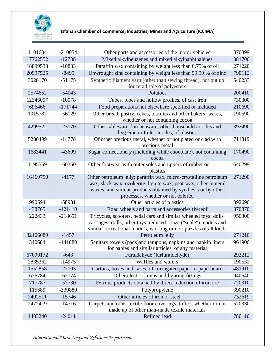

| 1101604           | $-210054$ | Other parts and accessories of the motor vehicles                                                                 | 870899 |
|-------------------|-----------|-------------------------------------------------------------------------------------------------------------------|--------|
| 17762552          | $-12788$  | Mixed alkylbenzenes and mixed alkylnaphthalenes                                                                   | 381700 |
| 18899533          | $-10833$  | Paraffin wax containing by weight less than 0.75% of oil                                                          | 271220 |
| 20997525          | $-8499$   | Unwrought zinc containing by weight less than 99.99 % of zinc                                                     | 790112 |
| 3028170           | $-51175$  | Synthetic filament yarn (other than sewing thread), not put up                                                    | 540233 |
|                   |           | for retail sale of polyesters                                                                                     |        |
| 2574652           | $-54043$  | Potatoes                                                                                                          | 200410 |
| 12346097          | $-10078$  | Tubes, pipes and hollow profiles, of cast iron                                                                    | 730300 |
| 696466            | $-171744$ | Food preparations not elsewhere specified or included                                                             | 210690 |
| 1915782           | $-56129$  | Other bread, pastry, cakes, biscuits and other bakers' wares,                                                     | 190590 |
|                   |           | whether or not containing cocoa                                                                                   |        |
| 4299522           | $-23170$  | Other tableware, kitchenware, other household articles and                                                        | 392490 |
|                   |           | hygienic or toilet articles, of plastics                                                                          |        |
| 5280499           | $-14778$  | Of other precious metal, whether or not plated or clad with                                                       | 711319 |
| 1683441           | -43609    | precious metal<br>Sugar confectionery (including white chocolate), not containing                                 | 170490 |
|                   |           | cocoa                                                                                                             |        |
| 1195559           | $-60350$  | Other footwear with outer soles and uppers of rubber or                                                           | 640299 |
|                   |           | plastics                                                                                                          |        |
| 16469790          | $-4177$   | Other petroleum jelly; paraffin wax, micro-crystalline petroleum                                                  | 271290 |
|                   |           | wax, slack wax, ozokerite, lignite wax, peat wax, other mineral                                                   |        |
|                   |           | waxes, and similar products obtained by synthesis or by other                                                     |        |
|                   |           | processes, whether or not colored                                                                                 |        |
| 990594            | $-58931$  | Other articles of plastics                                                                                        | 392690 |
| 438765            | $-121410$ | Road wheels and parts and accessories thereof                                                                     | 870870 |
| 222433            | $-218651$ | Tricycles, scooters, pedal cars and similar wheeled toys; dolls'                                                  | 950300 |
|                   |           | carriages; dolls; other toys; reduced - size ("scale") models and                                                 |        |
|                   |           | similar recreational models, working or not; puzzles of all kinds                                                 |        |
| 32106689          | $-1457$   | Petroleum jelly                                                                                                   | 271210 |
| 310684            | $-141880$ | Sanitary towels (pads) and tampons, napkins and napkin liners<br>for babies and similar articles, of any material | 961900 |
| 67090172          | $-643$    | Furaldehyde (furfuraldehyde)                                                                                      | 293212 |
| 2835362           | $-14975$  | Waffles and wafers                                                                                                | 190532 |
| 1552858           | $-27103$  | Cartons, boxes and cases, of corrugated paper or paperboard                                                       | 481910 |
| 676784            | $-62174$  | Other electric lamps and lighting fittings                                                                        | 940540 |
| 717787            | $-57730$  | Ferrous products obtained by direct reduction of iron ore                                                         | 720310 |
|                   |           |                                                                                                                   | 390210 |
| 115689<br>2402511 | -339880   | Polypropylene<br>Other articles of iron or steel                                                                  | 732619 |
| 2477419           | $-15746$  |                                                                                                                   |        |
|                   | $-14716$  | Carpets and other textile floor coverings, tufted, whether or not<br>made up of other man-made textile materials  | 570330 |
| 1483240           | $-24011$  | Refined lead                                                                                                      | 780110 |
|                   |           |                                                                                                                   |        |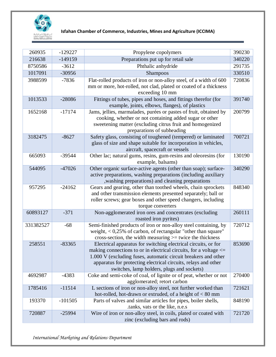

| 260935    | $-129227$ | Propylene copolymers                                                                                                                   | 390230 |
|-----------|-----------|----------------------------------------------------------------------------------------------------------------------------------------|--------|
| 216638    | $-149159$ | Preparations put up for retail sale                                                                                                    | 340220 |
| 8750586   | $-3612$   | Phthalic anhydride                                                                                                                     | 291735 |
| 1017091   | $-30956$  | Shampoos                                                                                                                               | 330510 |
| 3988599   | $-7836$   | Flat-rolled products of iron or non-alloy steel, of a width of 600                                                                     | 720836 |
|           |           | mm or more, hot-rolled, not clad, plated or coated of a thickness                                                                      |        |
|           |           | exceeding 10 mm                                                                                                                        |        |
| 1013533   | $-28086$  | Fittings of tubes, pipes and hoses, and fittings therefor (for<br>example, joints, elbows, flanges), of plastics                       | 391740 |
| 1652168   | $-17174$  | Jams, jellies, marmalades, purées or pastes of fruit, obtained by                                                                      | 200799 |
|           |           | cooking, whether or not containing added sugar or other                                                                                |        |
|           |           | sweetening matter (excluding citrus fruit and homogenized                                                                              |        |
|           |           | preparations of subheading                                                                                                             |        |
| 3182475   | $-8627$   | Safety glass, consisting of toughened (tempered) or laminated                                                                          | 700721 |
|           |           | glass of size and shape suitable for incorporation in vehicles,                                                                        |        |
|           |           | aircraft, spacecraft or vessels                                                                                                        |        |
| 665093    | -39544    | Other lac; natural gums, resins, gum-resins and oleoresins (for                                                                        | 130190 |
|           |           | example, balsams)                                                                                                                      |        |
| 544095    | $-47026$  | Other organic surface-active agents (other than soap); surface-                                                                        | 340290 |
|           |           | active preparations, washing preparations (including auxiliary<br>, washing preparations) and cleaning preparations                    |        |
| 957295    | $-24162$  | Gears and gearing, other than toothed wheels, chain sprockets                                                                          | 848340 |
|           |           | and other transmission elements presented separately; ball or                                                                          |        |
|           |           | roller screws; gear boxes and other speed changers, including                                                                          |        |
|           |           | torque converters                                                                                                                      |        |
| 60893127  | $-371$    | Non-agglomerated iron ores and concentrates (excluding                                                                                 | 260111 |
|           |           | roasted iron pyrites)                                                                                                                  |        |
| 331382527 | $-68$     | Semi-finished products of iron or non-alloy steel containing, by                                                                       | 720712 |
|           |           | weight, < 0,25% of carbon, of rectangular "other than square"                                                                          |        |
|           |           | cross-section, the width measuring $>=$ twice the thickness                                                                            |        |
| 258551    | $-83365$  | Electrical apparatus for switching electrical circuits, or for<br>making connections to or in electrical circuits, for a voltage $\le$ | 853690 |
|           |           | 1.000 V (excluding fuses, automatic circuit breakers and other                                                                         |        |
|           |           | apparatus for protecting electrical circuits, relays and other                                                                         |        |
|           |           | switches, lamp holders, plugs and sockets)                                                                                             |        |
| 4692987   | $-4383$   | Coke and semi-coke of coal, of lignite or of peat, whether or not                                                                      | 270400 |
|           |           | agglomerated; retort carbon                                                                                                            |        |
| 1785416   | $-11514$  | L sections of iron or non-alloy steel, not further worked than                                                                         | 721621 |
|           |           | hot-rolled, hot-drawn or extruded, of a height of $< 80$ mm                                                                            |        |
| 193370    | $-101505$ | Parts of valves and similar articles for pipes, boiler shells,                                                                         | 848190 |
|           |           | .tanks, vats or the like, n.e.s                                                                                                        |        |
| 720887    | $-25994$  | Wire of iron or non-alloy steel, in coils, plated or coated with                                                                       | 721720 |
|           |           | zinc (excluding bars and rods)                                                                                                         |        |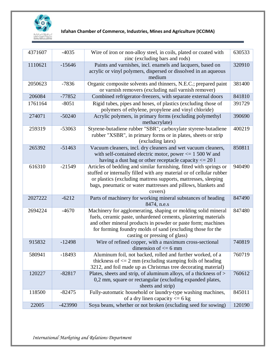

| 4371607 | $-4035$  | Wire of iron or non-alloy steel, in coils, plated or coated with<br>zinc (excluding bars and rods)                                                                                                                                                                                             | 630533 |
|---------|----------|------------------------------------------------------------------------------------------------------------------------------------------------------------------------------------------------------------------------------------------------------------------------------------------------|--------|
| 1110621 | $-15646$ | Paints and varnishes, incl. enamels and lacquers, based on<br>acrylic or vinyl polymers, dispersed or dissolved in an aqueous<br>medium                                                                                                                                                        | 320910 |
| 2050623 | $-7836$  | Organic composite solvents and thinners, N.E.C.; prepared paint<br>or varnish removers (excluding nail varnish remover)                                                                                                                                                                        | 381400 |
| 206084  | $-77852$ | Combined refrigerator-freezers, with separate external doors                                                                                                                                                                                                                                   | 841810 |
| 1761164 | $-8051$  | Rigid tubes, pipes and hoses, of plastics (excluding those of<br>polymers of ethylene, propylene and vinyl chloride)                                                                                                                                                                           | 391729 |
| 274071  | $-50240$ | Acrylic polymers, in primary forms (excluding polymethyl<br>methacrylate)                                                                                                                                                                                                                      | 390690 |
| 259319  | $-53063$ | Styrene-butadiene rubber "SBR"; carboxylate styrene-butadiene<br>rubber "XSBR", in primary forms or in plates, sheets or strip<br>(excluding latex)                                                                                                                                            | 400219 |
| 265392  | $-51463$ | Vacuum cleaners, incl. dry cleaners and wet vacuum cleaners,<br>with self-contained electric motor, power $\leq$ 1 500 W and<br>having a dust bag or other receptacle capacity $\leq$ 20 l                                                                                                     | 850811 |
| 616310  | $-21549$ | Articles of bedding and similar furnishing, fitted with springs or<br>stuffed or internally filled with any material or of cellular rubber<br>or plastics (excluding mattress supports, mattresses, sleeping<br>bags, pneumatic or water mattresses and pillows, blankets and<br>covers)       | 940490 |
| 2027222 | $-6212$  | Parts of machinery for working mineral substances of heading<br>8474, n.e.s                                                                                                                                                                                                                    | 847490 |
| 2694224 | $-4670$  | Machinery for agglomerating, shaping or molding solid mineral<br>fuels, ceramic paste, unhardened cements, plastering materials<br>and other mineral products in powder or paste form; machines<br>for forming foundry molds of sand (excluding those for the<br>casting or pressing of glass) | 847480 |
| 915832  | $-12498$ | Wire of refined copper, with a maximum cross-sectional<br>dimension of $\leq$ 6 mm                                                                                                                                                                                                             | 740819 |
| 580941  | $-18493$ | Aluminum foil, not backed, rolled and further worked, of a<br>thickness of $\leq$ 2 mm (excluding stamping foils of heading<br>3212, and foil made up as Christmas tree decorating material)                                                                                                   | 760719 |
| 120227  | $-82817$ | Plates, sheets and strip, of aluminum alloys, of a thickness of ><br>0,2 mm, square or rectangular (excluding expanded plates,<br>sheets and strip)                                                                                                                                            | 760612 |
| 118500  | $-82475$ | Fully-automatic household or laundry-type washing machines,<br>of a dry linen capacity $\leq$ 6 kg                                                                                                                                                                                             | 845011 |
| 22005   | -423990  | Soya beans, whether or not broken (excluding seed for sowing)                                                                                                                                                                                                                                  | 120190 |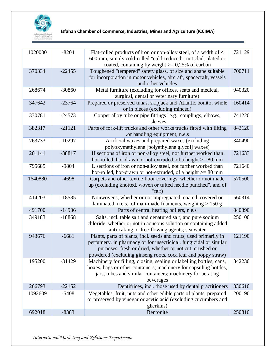

| 1020000 | $-8204$  | Flat-rolled products of iron or non-alloy steel, of a width of <<br>600 mm, simply cold-rolled "cold-reduced", not clad, plated or<br>coated, containing by weight $> = 0.25\%$ of carbon                                                                            | 721129 |
|---------|----------|----------------------------------------------------------------------------------------------------------------------------------------------------------------------------------------------------------------------------------------------------------------------|--------|
| 370334  | $-22455$ | Toughened "tempered" safety glass, of size and shape suitable<br>for incorporation in motor vehicles, aircraft, spacecraft, vessels<br>and other vehicles                                                                                                            | 700711 |
| 268674  | $-30860$ | Metal furniture (excluding for offices, seats and medical,<br>surgical, dental or veterinary furniture)                                                                                                                                                              | 940320 |
| 347642  | $-23764$ | Prepared or preserved tunas, skipjack and Atlantic bonito, whole<br>or in pieces (excluding minced)                                                                                                                                                                  | 160414 |
| 330781  | $-24573$ | Copper alloy tube or pipe fittings "e.g., couplings, elbows,<br>"sleeves                                                                                                                                                                                             | 741220 |
| 382317  | $-21121$ | Parts of fork-lift trucks and other works trucks fitted with lifting<br>.or handling equipment, n.e.s                                                                                                                                                                | 843120 |
| 763733  | $-10297$ | Artificial waxes and prepared waxes (excluding<br>polyoxymethylene [polyethylene glycol] waxes)                                                                                                                                                                      | 340490 |
| 201141  | $-38817$ | H sections of iron or non-alloy steel, not further worked than<br>hot-rolled, hot-drawn or hot-extruded, of a height >= 80 mm                                                                                                                                        | 721633 |
| 795685  | -9804    | L sections of iron or non-alloy steel, not further worked than<br>hot-rolled, hot-drawn or hot-extruded, of a height $>= 80$ mm                                                                                                                                      | 721640 |
| 1640880 | $-4698$  | Carpets and other textile floor coverings, whether or not made<br>up (excluding knotted, woven or tufted needle punched", and of<br>"felt)                                                                                                                           | 570500 |
| 414203  | $-18585$ | Nonwovens, whether or not impregnated, coated, covered or<br>laminated, n.e.s., of man-made filaments, weighing $> 150$ g                                                                                                                                            | 560314 |
| 491700  | $-14936$ | Parts of central heating boilers, n.e.s                                                                                                                                                                                                                              | 840390 |
| 349183  | $-18868$ | Salts, incl. table salt and denatured salt, and pure sodium<br>chloride, whether or not in aqueous solution or containing added<br>anti-caking or free-flowing agents; sea water                                                                                     | 250100 |
| 943676  | $-6681$  | Plants, parts of plants, incl. seeds and fruits, used primarily in<br>perfumery, in pharmacy or for insecticidal, fungicidal or similar<br>purposes, fresh or dried, whether or not cut, crushed or<br>powdered (excluding ginseng roots, coca leaf and poppy straw) | 121190 |
| 195200  | $-31429$ | Machinery for filling, closing, sealing or labelling bottles, cans,<br>boxes, bags or other containers; machinery for capsuling bottles,<br>jars, tubes and similar containers; machinery for aerating<br>beverages                                                  | 842230 |
| 266793  | $-22152$ | Dentifrices, incl. those used by dental practitioners                                                                                                                                                                                                                | 330610 |
| 1092609 | $-5408$  | Vegetables, fruit, nuts and other edible parts of plants, prepared<br>or preserved by vinegar or acetic acid (excluding cucumbers and<br>gherkins)                                                                                                                   | 200190 |
| 692018  | $-8383$  | Bentonite                                                                                                                                                                                                                                                            | 250810 |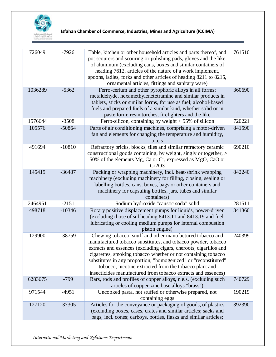

| 726049  | $-7926$  | Table, kitchen or other household articles and parts thereof, and<br>pot scourers and scouring or polishing pads, gloves and the like,<br>of aluminum (excluding cans, boxes and similar containers of<br>heading 7612, articles of the nature of a work implement,<br>spoons, ladles, forks and other articles of heading 8211 to 8215,<br>ornamental articles, fittings and sanitary ware)                                                                   | 761510 |
|---------|----------|----------------------------------------------------------------------------------------------------------------------------------------------------------------------------------------------------------------------------------------------------------------------------------------------------------------------------------------------------------------------------------------------------------------------------------------------------------------|--------|
| 1036289 | $-5362$  | Ferro-cerium and other pyrophoric alloys in all forms;<br>metaldehyde, hexamethylenetetramine and similar products in<br>tablets, sticks or similar forms, for use as fuel; alcohol-based<br>fuels and prepared fuels of a similar kind, whether solid or in<br>paste form; resin torches, firelighters and the like                                                                                                                                           | 360690 |
| 1576644 | $-3508$  | Ferro-silicon, containing by weight $> 55\%$ of silicon                                                                                                                                                                                                                                                                                                                                                                                                        | 720221 |
| 105576  | $-50864$ | Parts of air conditioning machines, comprising a motor-driven<br>fan and elements for changing the temperature and humidity,<br>n.e.s                                                                                                                                                                                                                                                                                                                          | 841590 |
| 491694  | $-10810$ | Refractory bricks, blocks, tiles and similar refractory ceramic<br>constructional goods containing, by weight, singly or together, ><br>50% of the elements Mg, Ca or Cr, expressed as MgO, CaO or<br>Cr2O3                                                                                                                                                                                                                                                    | 690210 |
| 145419  | $-36487$ | Packing or wrapping machinery, incl. heat-shrink wrapping<br>machinery (excluding machinery for filling, closing, sealing or<br>labelling bottles, cans, boxes, bags or other containers and<br>machinery for capsuling bottles, jars, tubes and similar<br>containers)                                                                                                                                                                                        | 842240 |
| 2464951 | $-2151$  | Sodium hydroxide "caustic soda" solid                                                                                                                                                                                                                                                                                                                                                                                                                          | 281511 |
| 498718  | $-10346$ | Rotary positive displacement pumps for liquids, power-driven<br>(excluding those of subheading 8413.11 and 8413.19 and fuel,<br>lubricating or cooling medium pumps for internal combustion<br>piston engine)                                                                                                                                                                                                                                                  | 841360 |
| 129900  | -38759   | Chewing tobacco, snuff and other manufactured tobacco and<br>manufactured tobacco substitutes, and tobacco powder, tobacco<br>extracts and essences (excluding cigars, cheroots, cigarillos and<br>cigarettes, smoking tobacco whether or not containing tobacco<br>substitutes in any proportion, "homogenized" or "reconstituted"<br>tobacco, nicotine extracted from the tobacco plant and<br>insecticides manufactured from tobacco extracts and essences) | 240399 |
| 6283675 | $-799$   | Bars, rods and profiles of copper alloys, n.e.s. (excluding such<br>articles of copper-zinc base alloys "brass")                                                                                                                                                                                                                                                                                                                                               | 740729 |
| 971544  | $-4951$  | Uncooked pasta, not stuffed or otherwise prepared, not<br>containing eggs                                                                                                                                                                                                                                                                                                                                                                                      | 190219 |
| 127120  | $-37305$ | Articles for the conveyance or packaging of goods, of plastics<br>(excluding boxes, cases, crates and similar articles; sacks and<br>bags, incl. cones; carboys, bottles, flasks and similar articles;                                                                                                                                                                                                                                                         | 392390 |